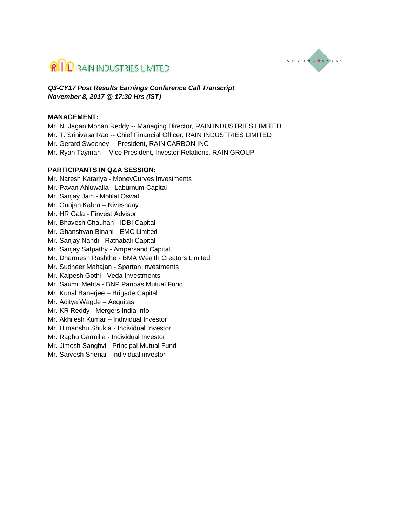



*Q3-CY17 Post Results Earnings Conference Call Transcript November 8, 2017 @ 17:30 Hrs (IST)*

#### **MANAGEMENT:**

Mr. N. Jagan Mohan Reddy -- Managing Director, RAIN INDUSTRIES LIMITED Mr. T. Srinivasa Rao -- Chief Financial Officer, RAIN INDUSTRIES LIMITED Mr. Gerard Sweeney -- President, RAIN CARBON INC Mr. Ryan Tayman -- Vice President, Investor Relations, RAIN GROUP

#### **PARTICIPANTS IN Q&A SESSION:**

Mr. Naresh Katariya - MoneyCurves Investments Mr. Pavan Ahluwalia - Laburnum Capital Mr. Sanjay Jain - Motilal Oswal Mr. Gunjan Kabra – Niveshaay Mr. HR Gala - Finvest Advisor Mr. Bhavesh Chauhan - IDBI Capital Mr. Ghanshyan Binani - EMC Limited Mr. Sanjay Nandi - Ratnabali Capital Mr. Sanjay Satpathy - Ampersand Capital Mr. Dharmesh Rashthe - BMA Wealth Creators Limited Mr. Sudheer Mahajan - Spartan Investments Mr. Kalpesh Gothi - Veda Investments Mr. Saumil Mehta - BNP Paribas Mutual Fund Mr. Kunal Banerjee – Brigade Capital Mr. Aditya Wagde – Aequitas Mr. KR Reddy - Mergers India Info Mr. Akhilesh Kumar – Individual Investor Mr. Himanshu Shukla - Individual Investor Mr. Raghu Garmilla - Individual Investor Mr. Jimesh Sanghvi - Principal Mutual Fund Mr. Sarvesh Shenai - Individual investor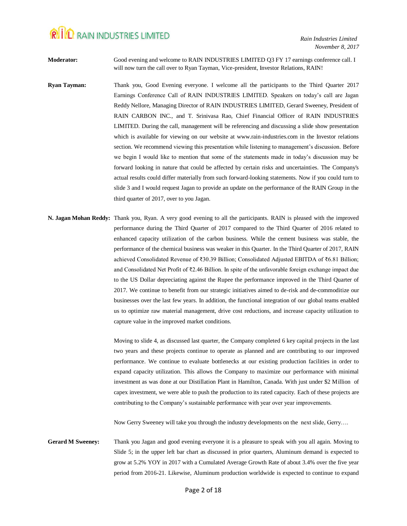**Moderator:** Good evening and welcome to RAIN INDUSTRIES LIMITED Q3 FY 17 earnings conference call. I will now turn the call over to Ryan Tayman, Vice-president, Investor Relations, RAIN!

- **Ryan Tayman:** Thank you, Good Evening everyone. I welcome all the participants to the Third Quarter 2017 Earnings Conference Call of RAIN INDUSTRIES LIMITED. Speakers on today's call are Jagan Reddy Nellore, Managing Director of RAIN INDUSTRIES LIMITED, Gerard Sweeney, President of RAIN CARBON INC., and T. Srinivasa Rao, Chief Financial Officer of RAIN INDUSTRIES LIMITED. During the call, management will be referencing and discussing a slide show presentation which is available for viewing on our website at www.rain-industries.com in the Investor relations section. We recommend viewing this presentation while listening to management's discussion. Before we begin I would like to mention that some of the statements made in today's discussion may be forward looking in nature that could be affected by certain risks and uncertainties. The Company's actual results could differ materially from such forward-looking statements. Now if you could turn to slide 3 and I would request Jagan to provide an update on the performance of the RAIN Group in the third quarter of 2017, over to you Jagan.
- **N. Jagan Mohan Reddy:** Thank you, Ryan. A very good evening to all the participants. RAIN is pleased with the improved performance during the Third Quarter of 2017 compared to the Third Quarter of 2016 related to enhanced capacity utilization of the carbon business. While the cement business was stable, the performance of the chemical business was weaker in this Quarter. In the Third Quarter of 2017, RAIN achieved Consolidated Revenue of ₹30.39 Billion; Consolidated Adjusted EBITDA of ₹6.81 Billion; and Consolidated Net Profit of ₹2.46 Billion. In spite of the unfavorable foreign exchange impact due to the US Dollar depreciating against the Rupee the performance improved in the Third Quarter of 2017. We continue to benefit from our strategic initiatives aimed to de-risk and de-commoditize our businesses over the last few years. In addition, the functional integration of our global teams enabled us to optimize raw material management, drive cost reductions, and increase capacity utilization to capture value in the improved market conditions.

Moving to slide 4, as discussed last quarter, the Company completed 6 key capital projects in the last two years and these projects continue to operate as planned and are contributing to our improved performance. We continue to evaluate bottlenecks at our existing production facilities in order to expand capacity utilization. This allows the Company to maximize our performance with minimal investment as was done at our Distillation Plant in Hamilton, Canada. With just under \$2 Million of capex investment, we were able to push the production to its rated capacity. Each of these projects are contributing to the Company's sustainable performance with year over year improvements.

Now Gerry Sweeney will take you through the industry developments on the next slide, Gerry….

**Gerard M Sweeney:** Thank you Jagan and good evening everyone it is a pleasure to speak with you all again. Moving to Slide 5; in the upper left bar chart as discussed in prior quarters, Aluminum demand is expected to grow at 5.2% YOY in 2017 with a Cumulated Average Growth Rate of about 3.4% over the five year period from 2016-21. Likewise, Aluminum production worldwide is expected to continue to expand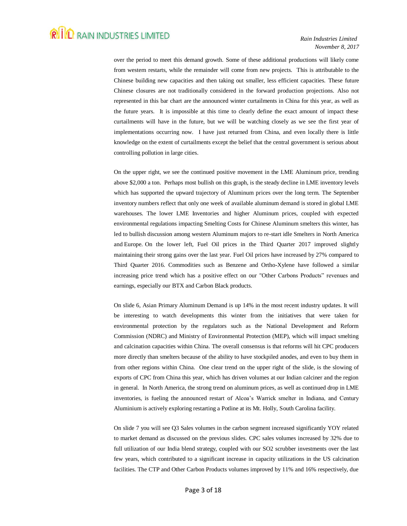over the period to meet this demand growth. Some of these additional productions will likely come from western restarts, while the remainder will come from new projects. This is attributable to the Chinese building new capacities and then taking out smaller, less efficient capacities. These future Chinese closures are not traditionally considered in the forward production projections. Also not represented in this bar chart are the announced winter curtailments in China for this year, as well as the future years. It is impossible at this time to clearly define the exact amount of impact these curtailments will have in the future, but we will be watching closely as we see the first year of implementations occurring now. I have just returned from China, and even locally there is little knowledge on the extent of curtailments except the belief that the central government is serious about controlling pollution in large cities.

On the upper right, we see the continued positive movement in the LME Aluminum price, trending above \$2,000 a ton. Perhaps most bullish on this graph, is the steady decline in LME inventory levels which has supported the upward trajectory of Aluminum prices over the long term. The September inventory numbers reflect that only one week of available aluminum demand is stored in global LME warehouses. The lower LME Inventories and higher Aluminum prices, coupled with expected environmental regulations impacting Smelting Costs for Chinese Aluminum smelters this winter, has led to bullish discussion among western Aluminum majors to re-start idle Smelters in North America and Europe. On the lower left, Fuel Oil prices in the Third Quarter 2017 improved slightly maintaining their strong gains over the last year. Fuel Oil prices have increased by 27% compared to Third Quarter 2016. Commodities such as Benzene and Ortho-Xylene have followed a similar increasing price trend which has a positive effect on our "Other Carbons Products" revenues and earnings, especially our BTX and Carbon Black products.

On slide 6, Asian Primary Aluminum Demand is up 14% in the most recent industry updates. It will be interesting to watch developments this winter from the initiatives that were taken for environmental protection by the regulators such as the National Development and Reform Commission (NDRC) and Ministry of Environmental Protection (MEP), which will impact smelting and calcination capacities within China. The overall consensus is that reforms will hit CPC producers more directly than smelters because of the ability to have stockpiled anodes, and even to buy them in from other regions within China. One clear trend on the upper right of the slide, is the slowing of exports of CPC from China this year, which has driven volumes at our Indian calciner and the region in general. In North America, the strong trend on aluminum prices, as well as continued drop in LME inventories, is fueling the announced restart of Alcoa's Warrick smelter in Indiana, and Century Aluminium is actively exploring restarting a Potline at its Mt. Holly, South Carolina facility.

On slide 7 you will see Q3 Sales volumes in the carbon segment increased significantly YOY related to market demand as discussed on the previous slides. CPC sales volumes increased by 32% due to full utilization of our India blend strategy, coupled with our SO2 scrubber investments over the last few years, which contributed to a significant increase in capacity utilizations in the US calcination facilities. The CTP and Other Carbon Products volumes improved by 11% and 16% respectively, due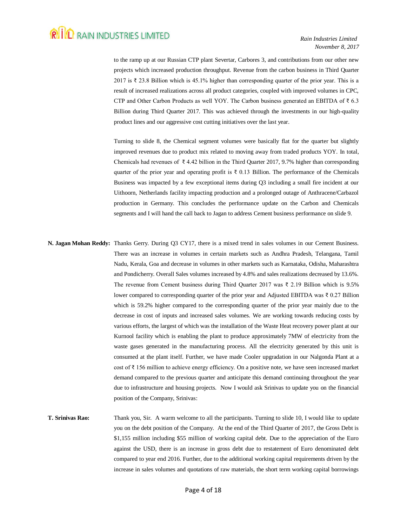to the ramp up at our Russian CTP plant Severtar, Carbores 3, and contributions from our other new projects which increased production throughput. Revenue from the carbon business in Third Quarter 2017 is ₹ 23.8 Billion which is 45.1% higher than corresponding quarter of the prior year. This is a result of increased realizations across all product categories, coupled with improved volumes in CPC, CTP and Other Carbon Products as well YOY. The Carbon business generated an EBITDA of  $\bar{\tau}$  6.3 Billion during Third Quarter 2017. This was achieved through the investments in our high-quality product lines and our aggressive cost cutting initiatives over the last year.

Turning to slide 8, the Chemical segment volumes were basically flat for the quarter but slightly improved revenues due to product mix related to moving away from traded products YOY. In total, Chemicals had revenues of  $\bar{\tau}$  4.42 billion in the Third Quarter 2017, 9.7% higher than corresponding quarter of the prior year and operating profit is  $\bar{\tau}$  0.13 Billion. The performance of the Chemicals Business was impacted by a few exceptional items during Q3 including a small fire incident at our Uithoorn, Netherlands facility impacting production and a prolonged outage of Anthracene/Carbazol production in Germany. This concludes the performance update on the Carbon and Chemicals segments and I will hand the call back to Jagan to address Cement business performance on slide 9.

- **N. Jagan Mohan Reddy:** Thanks Gerry. During Q3 CY17, there is a mixed trend in sales volumes in our Cement Business. There was an increase in volumes in certain markets such as Andhra Pradesh, Telangana, Tamil Nadu, Kerala, Goa and decrease in volumes in other markets such as Karnataka, Odisha, Maharashtra and Pondicherry. Overall Sales volumes increased by 4.8% and sales realizations decreased by 13.6%. The revenue from Cement business during Third Quarter 2017 was ₹ 2.19 Billion which is 9.5% lower compared to corresponding quarter of the prior year and Adjusted EBITDA was ₹ 0.27 Billion which is 59.2% higher compared to the corresponding quarter of the prior year mainly due to the decrease in cost of inputs and increased sales volumes. We are working towards reducing costs by various efforts, the largest of which was the installation of the Waste Heat recovery power plant at our Kurnool facility which is enabling the plant to produce approximately 7MW of electricity from the waste gases generated in the manufacturing process. All the electricity generated by this unit is consumed at the plant itself. Further, we have made Cooler upgradation in our Nalgonda Plant at a cost of ₹ 156 million to achieve energy efficiency. On a positive note, we have seen increased market demand compared to the previous quarter and anticipate this demand continuing throughout the year due to infrastructure and housing projects. Now I would ask Srinivas to update you on the financial position of the Company, Srinivas:
- **T. Srinivas Rao:** Thank you, Sir. A warm welcome to all the participants. Turning to slide 10, I would like to update you on the debt position of the Company. At the end of the Third Quarter of 2017, the Gross Debt is \$1,155 million including \$55 million of working capital debt. Due to the appreciation of the Euro against the USD, there is an increase in gross debt due to restatement of Euro denominated debt compared to year end 2016. Further, due to the additional working capital requirements driven by the increase in sales volumes and quotations of raw materials, the short term working capital borrowings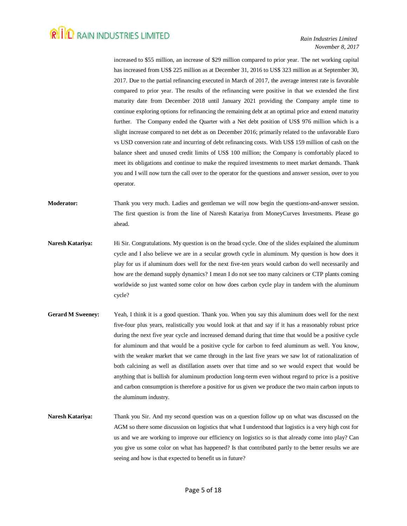increased to \$55 million, an increase of \$29 million compared to prior year. The net working capital has increased from US\$ 225 million as at December 31, 2016 to US\$ 323 million as at September 30, 2017. Due to the partial refinancing executed in March of 2017, the average interest rate is favorable compared to prior year. The results of the refinancing were positive in that we extended the first maturity date from December 2018 until January 2021 providing the Company ample time to continue exploring options for refinancing the remaining debt at an optimal price and extend maturity further. The Company ended the Quarter with a Net debt position of US\$ 976 million which is a slight increase compared to net debt as on December 2016; primarily related to the unfavorable Euro vs USD conversion rate and incurring of debt refinancing costs. With US\$ 159 million of cash on the balance sheet and unused credit limits of US\$ 100 million; the Company is comfortably placed to meet its obligations and continue to make the required investments to meet market demands. Thank you and I will now turn the call over to the operator for the questions and answer session, over to you operator.

**Moderator:** Thank you very much. Ladies and gentleman we will now begin the questions-and-answer session. The first question is from the line of Naresh Katariya from MoneyCurves Investments. Please go ahead.

- **Naresh Katariya:** Hi Sir. Congratulations. My question is on the broad cycle. One of the slides explained the aluminum cycle and I also believe we are in a secular growth cycle in aluminum. My question is how does it play for us if aluminum does well for the next five-ten years would carbon do well necessarily and how are the demand supply dynamics? I mean I do not see too many calciners or CTP plants coming worldwide so just wanted some color on how does carbon cycle play in tandem with the aluminum cycle?
- **Gerard M Sweeney:** Yeah, I think it is a good question. Thank you. When you say this aluminum does well for the next five-four plus years, realistically you would look at that and say if it has a reasonably robust price during the next five year cycle and increased demand during that time that would be a positive cycle for aluminum and that would be a positive cycle for carbon to feed aluminum as well. You know, with the weaker market that we came through in the last five years we saw lot of rationalization of both calcining as well as distillation assets over that time and so we would expect that would be anything that is bullish for aluminum production long-term even without regard to price is a positive and carbon consumption is therefore a positive for us given we produce the two main carbon inputs to the aluminum industry.
- **Naresh Katariya:** Thank you Sir. And my second question was on a question follow up on what was discussed on the AGM so there some discussion on logistics that what I understood that logistics is a very high cost for us and we are working to improve our efficiency on logistics so is that already come into play? Can you give us some color on what has happened? Is that contributed partly to the better results we are seeing and how is that expected to benefit us in future?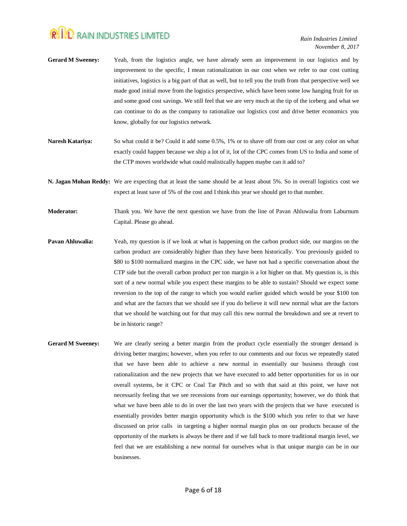- **Gerard M Sweeney:** Yeah, from the logistics angle, we have already seen an improvement in our logistics and by improvement to the specific, I mean rationalization in our cost when we refer to our cost cutting initiatives, logistics is a big part of that as well, but to tell you the truth from that perspective well we made good initial move from the logistics perspective, which have been some low hanging fruit for us and some good cost savings. We still feel that we are very much at the tip of the iceberg and what we can continue to do as the company to rationalize our logistics cost and drive better economics you know, globally for our logistics network.
- **Naresh Katariya:** So what could it be? Could it add some 0.5%, 1% or to shave off from our cost or any color on what exactly could happen because we ship a lot of it, lot of the CPC comes from US to India and some of the CTP moves worldwide what could realistically happen maybe can it add to?
- **N. Jagan Mohan Reddy:** We are expecting that at least the same should be at least about 5%. So in overall logistics cost we expect at least save of 5% of the cost and I think this year we should get to that number.
- **Moderator:** Thank you. We have the next question we have from the line of Pavan Ahluwalia from Laburnum Capital. Please go ahead.
- **Pavan Ahluwalia:** Yeah, my question is if we look at what is happening on the carbon product side, our margins on the carbon product are considerably higher than they have been historically. You previously guided to \$80 to \$100 normalized margins in the CPC side, we have not had a specific conversation about the CTP side but the overall carbon product per ton margin is a lot higher on that. My question is, is this sort of a new normal while you expect these margins to be able to sustain? Should we expect some reversion to the top of the range to which you would earlier guided which would be your \$100 ton and what are the factors that we should see if you do believe it will new normal what are the factors that we should be watching out for that may call this new normal the breakdown and see at revert to be in historic range?
- Gerard M Sweeney: We are clearly seeing a better margin from the product cycle essentially the stronger demand is driving better margins; however, when you refer to our comments and our focus we repeatedly stated that we have been able to achieve a new normal in essentially our business through cost rationalization and the new projects that we have executed to add better opportunities for us in our overall systems, be it CPC or Coal Tar Pitch and so with that said at this point, we have not necessarily feeling that we see recessions from our earnings opportunity; however, we do think that what we have been able to do in over the last two years with the projects that we have executed is essentially provides better margin opportunity which is the \$100 which you refer to that we have discussed on prior calls in targeting a higher normal margin plus on our products because of the opportunity of the markets is always be there and if we fall back to more traditional margin level, we feel that we are establishing a new normal for ourselves what is that unique margin can be in our businesses.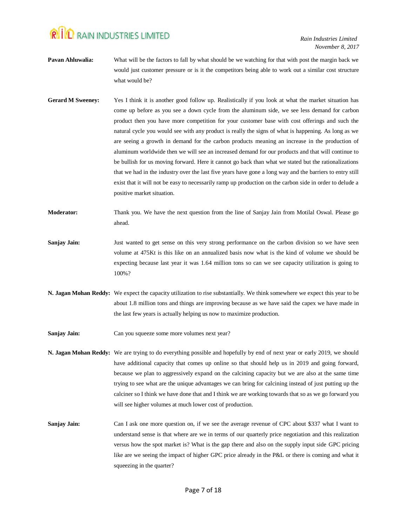*Rain Industries Limited November 8, 2017*

- **Pavan Ahluwalia:** What will be the factors to fall by what should be we watching for that with post the margin back we would just customer pressure or is it the competitors being able to work out a similar cost structure what would be?
- **Gerard M Sweeney:** Yes I think it is another good follow up. Realistically if you look at what the market situation has come up before as you see a down cycle from the aluminum side, we see less demand for carbon product then you have more competition for your customer base with cost offerings and such the natural cycle you would see with any product is really the signs of what is happening. As long as we are seeing a growth in demand for the carbon products meaning an increase in the production of aluminum worldwide then we will see an increased demand for our products and that will continue to be bullish for us moving forward. Here it cannot go back than what we stated but the rationalizations that we had in the industry over the last five years have gone a long way and the barriers to entry still exist that it will not be easy to necessarily ramp up production on the carbon side in order to delude a positive market situation.
- **Moderator:** Thank you. We have the next question from the line of Sanjay Jain from Motilal Oswal. Please go ahead.
- **Sanjay Jain:** Just wanted to get sense on this very strong performance on the carbon division so we have seen volume at 475Kt is this like on an annualized basis now what is the kind of volume we should be expecting because last year it was 1.64 million tons so can we see capacity utilization is going to 100%?
- **N. Jagan Mohan Reddy:** We expect the capacity utilization to rise substantially. We think somewhere we expect this year to be about 1.8 million tons and things are improving because as we have said the capex we have made in the last few years is actually helping us now to maximize production.

**Sanjay Jain:** Can you squeeze some more volumes next year?

- **N. Jagan Mohan Reddy:** We are trying to do everything possible and hopefully by end of next year or early 2019, we should have additional capacity that comes up online so that should help us in 2019 and going forward, because we plan to aggressively expand on the calcining capacity but we are also at the same time trying to see what are the unique advantages we can bring for calcining instead of just putting up the calciner so I think we have done that and I think we are working towards that so as we go forward you will see higher volumes at much lower cost of production.
- **Sanjay Jain:** Can I ask one more question on, if we see the average revenue of CPC about \$337 what I want to understand sense is that where are we in terms of our quarterly price negotiation and this realization versus how the spot market is? What is the gap there and also on the supply input side GPC pricing like are we seeing the impact of higher GPC price already in the P&L or there is coming and what it squeezing in the quarter?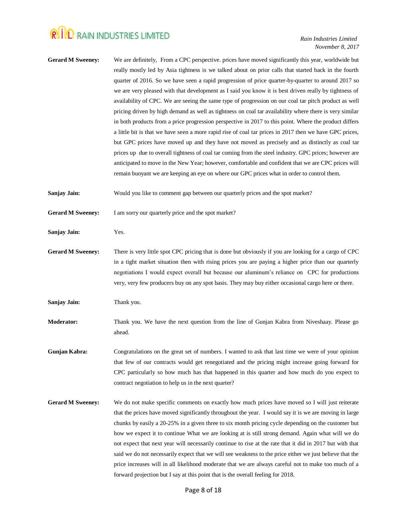**Gerard M Sweeney:** We are definitely, From a CPC perspective. prices have moved significantly this year, worldwide but really mostly led by Asia tightness is we talked about on prior calls that started back in the fourth quarter of 2016. So we have seen a rapid progression of price quarter-by-quarter to around 2017 so we are very pleased with that development as I said you know it is best driven really by tightness of availability of CPC. We are seeing the same type of progression on our coal tar pitch product as well pricing driven by high demand as well as tightness on coal tar availability where there is very similar in both products from a price progression perspective in 2017 to this point. Where the product differs a little bit is that we have seen a more rapid rise of coal tar prices in 2017 then we have GPC prices, but GPC prices have moved up and they have not moved as precisely and as distinctly as coal tar prices up due to overall tightness of coal tar coming from the steel industry. GPC prices; however are anticipated to move in the New Year; however, comfortable and confident that we are CPC prices will remain buoyant we are keeping an eye on where our GPC prices what in order to control them.

**Sanjay Jain:** Would you like to comment gap between our quarterly prices and the spot market?

Gerard M Sweeney: I am sorry our quarterly price and the spot market?

**Sanjay Jain:** Yes.

**Gerard M Sweeney:** There is very little spot CPC pricing that is done but obviously if you are looking for a cargo of CPC in a tight market situation then with rising prices you are paying a higher price than our quarterly negotiations I would expect overall but because our aluminum's reliance on CPC for productions very, very few producers buy on any spot basis. They may buy either occasional cargo here or there.

**Sanjay Jain:** Thank you.

- **Moderator:** Thank you. We have the next question from the line of Gunjan Kabra from Niveshaay. Please go ahead.
- **Gunjan Kabra:** Congratulations on the great set of numbers. I wanted to ask that last time we were of your opinion that few of our contracts would get renegotiated and the pricing might increase going forward for CPC particularly so how much has that happened in this quarter and how much do you expect to contract negotiation to help us in the next quarter?
- Gerard M Sweeney: We do not make specific comments on exactly how much prices have moved so I will just reiterate that the prices have moved significantly throughout the year. I would say it is we are moving in large chunks by easily a 20-25% in a given three to six month pricing cycle depending on the customer but how we expect it to continue What we are looking at is still strong demand. Again what will we do not expect that next year will necessarily continue to rise at the rate that it did in 2017 but with that said we do not necessarily expect that we will see weakness to the price either we just believe that the price increases will in all likelihood moderate that we are always careful not to make too much of a forward projection but I say at this point that is the overall feeling for 2018.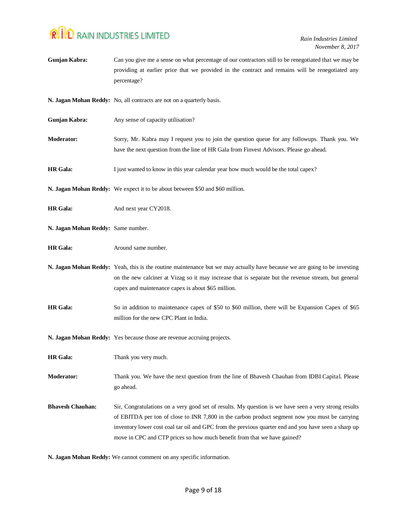| Gunjan Kabra:                      | Can you give me a sense on what percentage of our contractors still to be renegotiated that we may be<br>providing at earlier price that we provided in the contract and remains will be renegotiated any<br>percentage?                                                                                                                                                                    |
|------------------------------------|---------------------------------------------------------------------------------------------------------------------------------------------------------------------------------------------------------------------------------------------------------------------------------------------------------------------------------------------------------------------------------------------|
|                                    | N. Jagan Mohan Reddy: No, all contracts are not on a quarterly basis.                                                                                                                                                                                                                                                                                                                       |
| Gunjan Kabra:                      | Any sense of capacity utilisation?                                                                                                                                                                                                                                                                                                                                                          |
| <b>Moderator:</b>                  | Sorry, Mr. Kabra may I request you to join the question queue for any followups. Thank you. We<br>have the next question from the line of HR Gala from Finvest Advisors. Please go ahead.                                                                                                                                                                                                   |
| <b>HR</b> Gala:                    | I just wanted to know in this year calendar year how much would be the total capex?                                                                                                                                                                                                                                                                                                         |
|                                    | N. Jagan Mohan Reddy: We expect it to be about between \$50 and \$60 million.                                                                                                                                                                                                                                                                                                               |
| <b>HR</b> Gala:                    | And next year CY2018.                                                                                                                                                                                                                                                                                                                                                                       |
| N. Jagan Mohan Reddy: Same number. |                                                                                                                                                                                                                                                                                                                                                                                             |
| <b>HR</b> Gala:                    | Around same number.                                                                                                                                                                                                                                                                                                                                                                         |
|                                    | N. Jagan Mohan Reddy: Yeah, this is the routine maintenance but we may actually have because we are going to be investing<br>on the new calciner at Vizag so it may increase that is separate but the revenue stream, but general<br>capex and maintenance capex is about \$65 million.                                                                                                     |
| <b>HR</b> Gala:                    | So in addition to maintenance capex of \$50 to \$60 million, there will be Expansion Capex of \$65<br>million for the new CPC Plant in India.                                                                                                                                                                                                                                               |
|                                    | N. Jagan Mohan Reddy: Yes because those are revenue accruing projects.                                                                                                                                                                                                                                                                                                                      |
| <b>HR</b> Gala:                    | Thank you very much.                                                                                                                                                                                                                                                                                                                                                                        |
| <b>Moderator:</b>                  | Thank you. We have the next question from the line of Bhavesh Chauhan from IDBI Capital. Please<br>go ahead.                                                                                                                                                                                                                                                                                |
| <b>Bhavesh Chauhan:</b>            | Sir, Congratulations on a very good set of results. My question is we have seen a very strong results<br>of EBITDA per ton of close to INR 7,800 in the carbon product segment now you must be carrying<br>inventory lower cost coal tar oil and GPC from the previous quarter end and you have seen a sharp up<br>move in CPC and CTP prices so how much benefit from that we have gained? |

**N. Jagan Mohan Reddy:** We cannot comment on any specific information.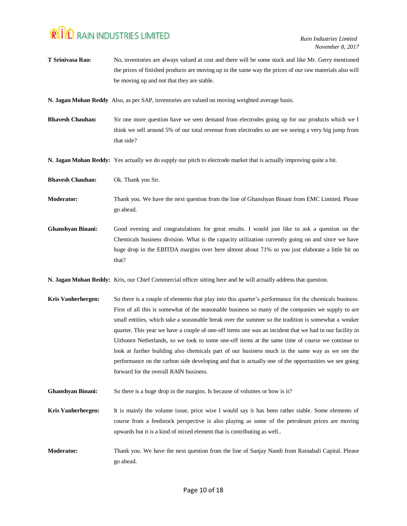| T Srinivasa Rao:          | No, inventories are always valued at cost and there will be some stock and like Mr. Gerry mentioned<br>the prices of finished products are moving up in the same way the prices of our raw materials also will<br>be moving up and not that they are stable.                                                                                                                                                                                                                                                                                                                                                                                                                                                                                                                            |
|---------------------------|-----------------------------------------------------------------------------------------------------------------------------------------------------------------------------------------------------------------------------------------------------------------------------------------------------------------------------------------------------------------------------------------------------------------------------------------------------------------------------------------------------------------------------------------------------------------------------------------------------------------------------------------------------------------------------------------------------------------------------------------------------------------------------------------|
|                           | N. Jagan Mohan Reddy Also, as per SAP, inventories are valued on moving weighted average basis.                                                                                                                                                                                                                                                                                                                                                                                                                                                                                                                                                                                                                                                                                         |
| <b>Bhavesh Chauhan:</b>   | Sir one more question have we seen demand from electrodes going up for our products which we I<br>think we sell around 5% of our total revenue from electrodes so are we seeing a very big jump from<br>that side?                                                                                                                                                                                                                                                                                                                                                                                                                                                                                                                                                                      |
|                           | N. Jagan Mohan Reddy: Yes actually we do supply our pitch to electrode market that is actually improving quite a bit.                                                                                                                                                                                                                                                                                                                                                                                                                                                                                                                                                                                                                                                                   |
| <b>Bhavesh Chauhan:</b>   | Ok. Thank you Sir.                                                                                                                                                                                                                                                                                                                                                                                                                                                                                                                                                                                                                                                                                                                                                                      |
| <b>Moderator:</b>         | Thank you. We have the next question from the line of Ghanshyan Binani from EMC Limited. Please<br>go ahead.                                                                                                                                                                                                                                                                                                                                                                                                                                                                                                                                                                                                                                                                            |
| <b>Ghanshyan Binani:</b>  | Good evening and congratulations for great results. I would just like to ask a question on the<br>Chemicals business division. What is the capacity utilization currently going on and since we have<br>huge drop in the EBITDA margins over here almost about 71% so you just elaborate a little bit on<br>that?                                                                                                                                                                                                                                                                                                                                                                                                                                                                       |
|                           | N. Jagan Mohan Reddy: Kris, our Chief Commercial officer sitting here and he will actually address that question.                                                                                                                                                                                                                                                                                                                                                                                                                                                                                                                                                                                                                                                                       |
| <b>Kris Vanherbergen:</b> | So there is a couple of elements that play into this quarter's performance for the chemicals business.<br>First of all this is somewhat of the seasonable business so many of the companies we supply to are<br>small entities, which take a seasonable break over the summer so the tradition is somewhat a weaker<br>quarter. This year we have a couple of one-off items one was an incident that we had in our facility in<br>Uithoorn Netherlands, so we took to some one-off items at the same time of course we continue to<br>look at further building also chemicals part of our business much in the same way as we see the<br>performance on the carbon side developing and that is actually one of the opportunities we see going<br>forward for the overall RAIN business. |
| <b>Ghanshyan Binani:</b>  | So there is a huge drop in the margins. Is because of volumes or how is it?                                                                                                                                                                                                                                                                                                                                                                                                                                                                                                                                                                                                                                                                                                             |
| Kris Vanherbergen:        | It is mainly the volume issue, price wise I would say it has been rather stable. Some elements of<br>course from a feedstock perspective is also playing as some of the petroleum prices are moving<br>upwards but it is a kind of mixed element that is contributing as well                                                                                                                                                                                                                                                                                                                                                                                                                                                                                                           |
| <b>Moderator:</b>         | Thank you. We have the next question from the line of Sanjay Nandi from Ratnabali Capital. Please<br>go ahead.                                                                                                                                                                                                                                                                                                                                                                                                                                                                                                                                                                                                                                                                          |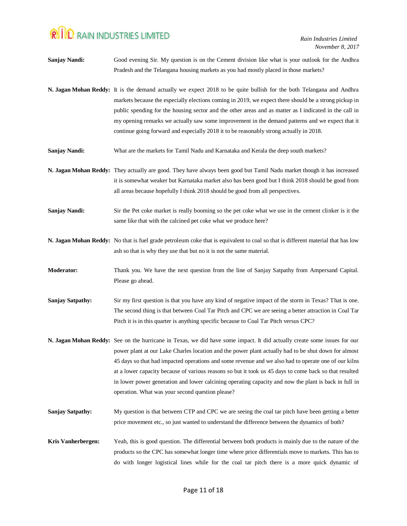| <b>Sanjay Nandi:</b>      | Good evening Sir. My question is on the Cement division like what is your outlook for the Andhra                                                                                                                                                                                                                                                                                                                                                                                                                                                                                                                |
|---------------------------|-----------------------------------------------------------------------------------------------------------------------------------------------------------------------------------------------------------------------------------------------------------------------------------------------------------------------------------------------------------------------------------------------------------------------------------------------------------------------------------------------------------------------------------------------------------------------------------------------------------------|
|                           | Pradesh and the Telangana housing markets as you had mostly placed in those markets?                                                                                                                                                                                                                                                                                                                                                                                                                                                                                                                            |
|                           | N. Jagan Mohan Reddy: It is the demand actually we expect 2018 to be quite bullish for the both Telangana and Andhra<br>markets because the especially elections coming in 2019, we expect there should be a strong pickup in<br>public spending for the housing sector and the other areas and as matter as I indicated in the call in<br>my opening remarks we actually saw some improvement in the demand patterns and we expect that it<br>continue going forward and especially 2018 it to be reasonably strong actually in 2018.                                                                          |
| <b>Sanjay Nandi:</b>      | What are the markets for Tamil Nadu and Karnataka and Kerala the deep south markets?                                                                                                                                                                                                                                                                                                                                                                                                                                                                                                                            |
|                           | N. Jagan Mohan Reddy: They actually are good. They have always been good but Tamil Nadu market though it has increased<br>it is somewhat weaker but Karnataka market also has been good but I think 2018 should be good from<br>all areas because hopefully I think 2018 should be good from all perspectives.                                                                                                                                                                                                                                                                                                  |
| <b>Sanjay Nandi:</b>      | Sir the Pet coke market is really booming so the pet coke what we use in the cement clinker is it the<br>same like that with the calcined pet coke what we produce here?                                                                                                                                                                                                                                                                                                                                                                                                                                        |
|                           | N. Jagan Mohan Reddy: No that is fuel grade petroleum coke that is equivalent to coal so that is different material that has low<br>ash so that is why they use that but no it is not the same material.                                                                                                                                                                                                                                                                                                                                                                                                        |
| Moderator:                | Thank you. We have the next question from the line of Sanjay Satpathy from Ampersand Capital.<br>Please go ahead.                                                                                                                                                                                                                                                                                                                                                                                                                                                                                               |
| <b>Sanjay Satpathy:</b>   | Sir my first question is that you have any kind of negative impact of the storm in Texas? That is one.<br>The second thing is that between Coal Tar Pitch and CPC we are seeing a better attraction in Coal Tar<br>Pitch it is in this quarter is anything specific because to Coal Tar Pitch versus CPC?                                                                                                                                                                                                                                                                                                       |
|                           | N. Jagan Mohan Reddy: See on the hurricane in Texas, we did have some impact. It did actually create some issues for our<br>power plant at our Lake Charles location and the power plant actually had to be shut down for almost<br>45 days so that had impacted operations and some revenue and we also had to operate one of our kilns<br>at a lower capacity because of various reasons so but it took us 45 days to come back so that resulted<br>in lower power generation and lower calcining operating capacity and now the plant is back in full in<br>operation. What was your second question please? |
| <b>Sanjay Satpathy:</b>   | My question is that between CTP and CPC we are seeing the coal tar pitch have been getting a better<br>price movement etc., so just wanted to understand the difference between the dynamics of both?                                                                                                                                                                                                                                                                                                                                                                                                           |
| <b>Kris Vanherbergen:</b> | Yeah, this is good question. The differential between both products is mainly due to the nature of the<br>products so the CPC has somewhat longer time where price differentials move to markets. This has to<br>do with longer logistical lines while for the coal tar pitch there is a more quick dynamic of                                                                                                                                                                                                                                                                                                  |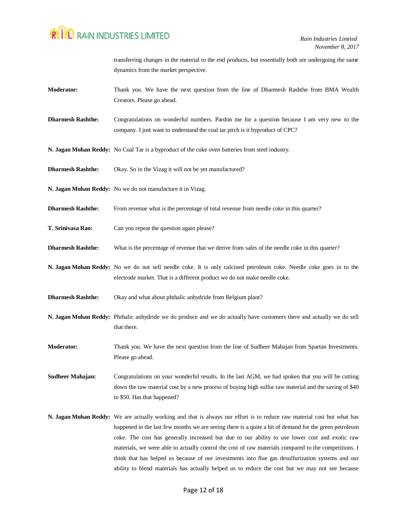transferring changes in the material to the end products, but essentially both are undergoing the same dynamics from the market perspective.

- **Moderator:** Thank you. We have the next question from the line of Dharmesh Rashthe from BMA Wealth Creators. Please go ahead.
- **Dharmesh Rashthe:** Congratulations on wonderful numbers. Pardon me for a question because I am very new to the company. I just want to understand the coal tar pitch is it byproduct of CPC?
- **N. Jagan Mohan Reddy:** No Coal Tar is a byproduct of the coke oven batteries from steel industry.
- **Dharmesh Rashthe:** Okay. So in the Vizag it will not be yet manufactured?
- **N. Jagan Mohan Reddy:** No we do not manufacture it in Vizag.
- **Dharmesh Rashthe:** From revenue what is the percentage of total revenue from needle coke in this quarter?
- **T. Srinivasa Rao:** Can you repeat the question again please?
- **Dharmesh Rashthe:** What is the percentage of revenue that we derive from sales of the needle coke in this quarter?
- **N. Jagan Mohan Reddy:** No we do not sell needle coke. It is only calcined petroleum coke. Needle coke goes in to the electrode market. That is a different product we do not make needle coke.
- **Dharmesh Rashthe:** Okay and what about phthalic anhydride from Belgium plant?
- **N. Jagan Mohan Reddy:** Phthalic anhydride we do produce and we do actually have customers there and actually we do sell that there.
- **Moderator:** Thank you. We have the next question from the line of Sudheer Mahajan from Spartan Investments. Please go ahead.

**Sudheer Mahajan:** Congratulations on your wonderful results. In the last AGM, we had spoken that you will be cutting down the raw material cost by a new process of buying high sulfur raw material and the saving of \$40 to \$50. Has that happened?

**N. Jagan Mohan Reddy:** We are actually working and that is always our effort is to reduce raw material cost but what has happened in the last few months we are seeing there is a quite a bit of demand for the green petroleum coke. The cost has generally increased but due to our ability to use lower cost and exotic raw materials, we were able to actually control the cost of raw materials compared to the competitions. I think that has helped us because of our investments into flue gas desulfurization systems and our ability to blend materials has actually helped us to reduce the cost but we may not see because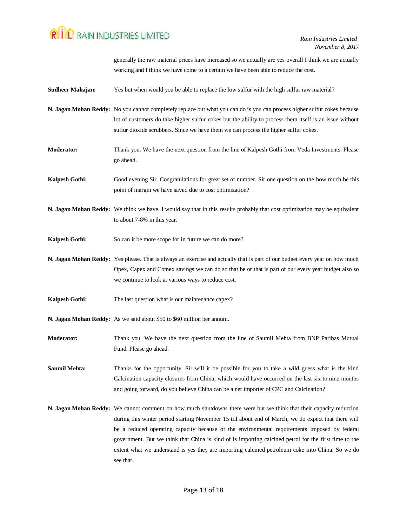generally the raw material prices have increased so we actually are yes overall I think we are actually working and I think we have come to a certain we have been able to reduce the cost.

| Sudheer Mahajan: | Yes but when would you be able to replace the low sulfur with the high sulfur raw material? |
|------------------|---------------------------------------------------------------------------------------------|
|------------------|---------------------------------------------------------------------------------------------|

- **N. Jagan Mohan Reddy:** No you cannot completely replace but what you can do is you can process higher sulfur cokes because lot of customers do take higher sulfur cokes but the ability to process them itself is an issue without sulfur dioxide scrubbers. Since we have them we can process the higher sulfur cokes.
- **Moderator:** Thank you. We have the next question from the line of Kalpesh Gothi from Veda Investments. Please go ahead.
- **Kalpesh Gothi:** Good evening Sir. Congratulations for great set of number. Sir one question on the how much be this point of margin we have saved due to cost optimization?
- **N. Jagan Mohan Reddy:** We think we have, I would say that in this results probably that cost optimization may be equivalent to about 7-8% in this year.
- Kalpesh Gothi: So can it be more scope for in future we can do more?
- **N. Jagan Mohan Reddy:** Yes please. That is always an exercise and actually that is part of our budget every year on how much Opex, Capex and Comex savings we can do so that be or that is part of our every year budget also so we continue to look at various ways to reduce cost.
- **Kalpesh Gothi:** The last question what is our maintenance capex?
- **N. Jagan Mohan Reddy:** As we said about \$50 to \$60 million per annum.
- **Moderator:** Thank you. We have the next question from the line of Saumil Mehta from BNP Paribas Mutual Fund. Please go ahead.

**Saumil Mehta:** Thanks for the opportunity. Sir will it be possible for you to take a wild guess what is the kind Calcination capacity closures from China, which would have occurred on the last six to nine months and going forward, do you believe China can be a net importer of CPC and Calcination?

**N. Jagan Mohan Reddy:** We cannot comment on how much shutdowns there were but we think that their capacity reduction during this winter period starting November 15 till about end of March, we do expect that there will be a reduced operating capacity because of the environmental requirements imposed by federal government. But we think that China is kind of is importing calcined petrol for the first time to the extent what we understand is yes they are importing calcined petroleum coke into China. So we do see that.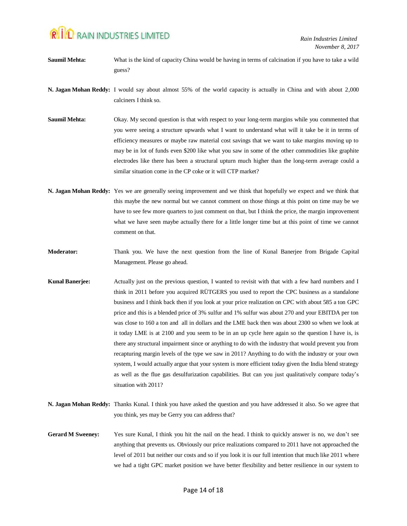- **Saumil Mehta:** What is the kind of capacity China would be having in terms of calcination if you have to take a wild guess?
- **N. Jagan Mohan Reddy:** I would say about almost 55% of the world capacity is actually in China and with about 2,000 calciners I think so.
- **Saumil Mehta:** Okay. My second question is that with respect to your long-term margins while you commented that you were seeing a structure upwards what I want to understand what will it take be it in terms of efficiency measures or maybe raw material cost savings that we want to take margins moving up to may be in lot of funds even \$200 like what you saw in some of the other commodities like graphite electrodes like there has been a structural upturn much higher than the long-term average could a similar situation come in the CP coke or it will CTP market?
- **N. Jagan Mohan Reddy:** Yes we are generally seeing improvement and we think that hopefully we expect and we think that this maybe the new normal but we cannot comment on those things at this point on time may be we have to see few more quarters to just comment on that, but I think the price, the margin improvement what we have seen maybe actually there for a little longer time but at this point of time we cannot comment on that.
- **Moderator:** Thank you. We have the next question from the line of Kunal Banerjee from Brigade Capital Management. Please go ahead.
- **Kunal Banerjee:** Actually just on the previous question, I wanted to revisit with that with a few hard numbers and I think in 2011 before you acquired RÜTGERS you used to report the CPC business as a standalone business and I think back then if you look at your price realization on CPC with about 585 a ton GPC price and this is a blended price of 3% sulfur and 1% sulfur was about 270 and your EBITDA per ton was close to 160 a ton and all in dollars and the LME back then was about 2300 so when we look at it today LME is at 2100 and you seem to be in an up cycle here again so the question I have is, is there any structural impairment since or anything to do with the industry that would prevent you from recapturing margin levels of the type we saw in 2011? Anything to do with the industry or your own system, I would actually argue that your system is more efficient today given the India blend strategy as well as the flue gas desulfurization capabilities. But can you just qualitatively compare today's situation with 2011?
- **N. Jagan Mohan Reddy:** Thanks Kunal. I think you have asked the question and you have addressed it also. So we agree that you think, yes may be Gerry you can address that?
- Gerard M Sweeney: Yes sure Kunal, I think you hit the nail on the head. I think to quickly answer is no, we don't see anything that prevents us. Obviously our price realizations compared to 2011 have not approached the level of 2011 but neither our costs and so if you look it is our full intention that much like 2011 where we had a tight GPC market position we have better flexibility and better resilience in our system to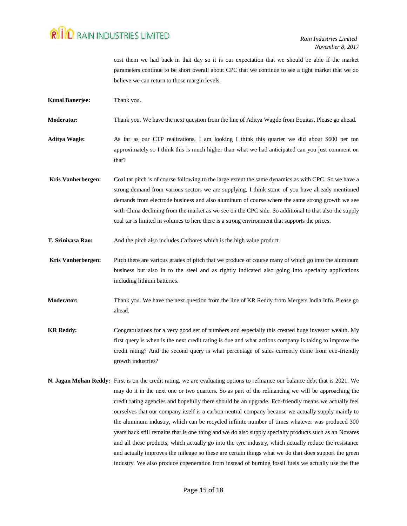cost them we had back in that day so it is our expectation that we should be able if the market parameters continue to be short overall about CPC that we continue to see a tight market that we do believe we can return to those margin levels.

**Kunal Banerjee:** Thank you.

**Moderator:** Thank you. We have the next question from the line of Aditya Wagde from Equitas. Please go ahead.

**Aditya Wagle:** As far as our CTP realizations, I am looking I think this quarter we did about \$600 per ton approximately so I think this is much higher than what we had anticipated can you just comment on that?

**Kris Vanherbergen:** Coal tar pitch is of course following to the large extent the same dynamics as with CPC. So we have a strong demand from various sectors we are supplying, I think some of you have already mentioned demands from electrode business and also aluminum of course where the same strong growth we see with China declining from the market as we see on the CPC side. So additional to that also the supply coal tar is limited in volumes to here there is a strong environment that supports the prices.

**T. Srinivasa Rao:** And the pitch also includes Carbores which is the high value product

**Kris Vanherbergen:** Pitch there are various grades of pitch that we produce of course many of which go into the aluminum business but also in to the steel and as rightly indicated also going into specialty applications including lithium batteries.

**Moderator:** Thank you. We have the next question from the line of KR Reddy from Mergers India Info. Please go ahead.

- **KR Reddy:** Congratulations for a very good set of numbers and especially this created huge investor wealth. My first query is when is the next credit rating is due and what actions company is taking to improve the credit rating? And the second query is what percentage of sales currently come from eco-friendly growth industries?
- **N. Jagan Mohan Reddy:** First is on the credit rating, we are evaluating options to refinance our balance debt that is 2021. We may do it in the next one or two quarters. So as part of the refinancing we will be approaching the credit rating agencies and hopefully there should be an upgrade. Eco-friendly means we actually feel ourselves that our company itself is a carbon neutral company because we actually supply mainly to the aluminum industry, which can be recycled infinite number of times whatever was produced 300 years back still remains that is one thing and we do also supply specialty products such as an Novares and all these products, which actually go into the tyre industry, which actually reduce the resistance and actually improves the mileage so these are certain things what we do that does support the green industry. We also produce cogeneration from instead of burning fossil fuels we actually use the flue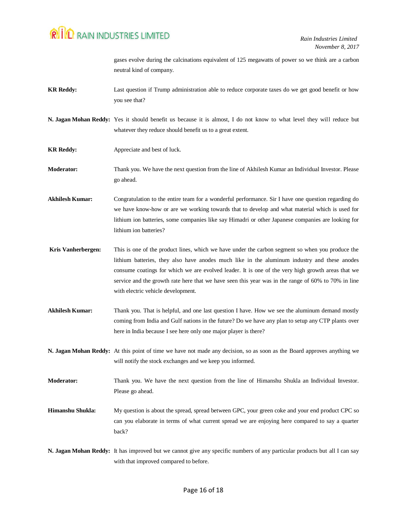gases evolve during the calcinations equivalent of 125 megawatts of power so we think are a carbon neutral kind of company.

- **KR Reddy:** Last question if Trump administration able to reduce corporate taxes do we get good benefit or how you see that?
- **N. Jagan Mohan Reddy:** Yes it should benefit us because it is almost, I do not know to what level they will reduce but whatever they reduce should benefit us to a great extent.
- **KR Reddy:** Appreciate and best of luck.
- **Moderator:** Thank you. We have the next question from the line of Akhilesh Kumar an Individual Investor. Please go ahead.

**Akhilesh Kumar:** Congratulation to the entire team for a wonderful performance. Sir I have one question regarding do we have know-how or are we working towards that to develop and what material which is used for lithium ion batteries, some companies like say Himadri or other Japanese companies are looking for lithium ion batteries?

- **Kris Vanherbergen:** This is one of the product lines, which we have under the carbon segment so when you produce the lithium batteries, they also have anodes much like in the aluminum industry and these anodes consume coatings for which we are evolved leader. It is one of the very high growth areas that we service and the growth rate here that we have seen this year was in the range of 60% to 70% in line with electric vehicle development.
- **Akhilesh Kumar:** Thank you. That is helpful, and one last question I have. How we see the aluminum demand mostly coming from India and Gulf nations in the future? Do we have any plan to setup any CTP plants over here in India because I see here only one major player is there?

**N. Jagan Mohan Reddy:** At this point of time we have not made any decision, so as soon as the Board approves anything we will notify the stock exchanges and we keep you informed.

**Moderator:** Thank you. We have the next question from the line of Himanshu Shukla an Individual Investor. Please go ahead.

- **Himanshu Shukla:** My question is about the spread, spread between GPC, your green coke and your end product CPC so can you elaborate in terms of what current spread we are enjoying here compared to say a quarter back?
- **N. Jagan Mohan Reddy:** It has improved but we cannot give any specific numbers of any particular products but all I can say with that improved compared to before.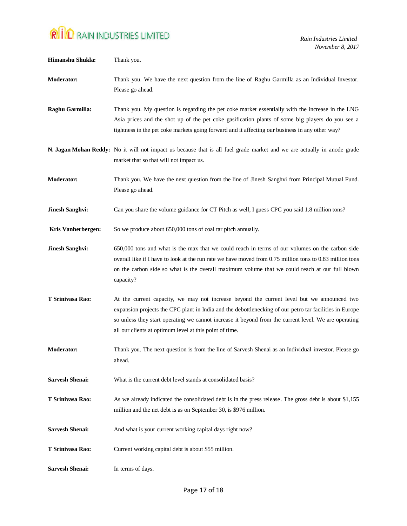| Himanshu Shukla:          | Thank you.                                                                                                                                                                                                                                                                                                                                                               |
|---------------------------|--------------------------------------------------------------------------------------------------------------------------------------------------------------------------------------------------------------------------------------------------------------------------------------------------------------------------------------------------------------------------|
| Moderator:                | Thank you. We have the next question from the line of Raghu Garmilla as an Individual Investor.<br>Please go ahead.                                                                                                                                                                                                                                                      |
| Raghu Garmilla:           | Thank you. My question is regarding the pet coke market essentially with the increase in the LNG<br>Asia prices and the shot up of the pet coke gasification plants of some big players do you see a<br>tightness in the pet coke markets going forward and it affecting our business in any other way?                                                                  |
|                           | N. Jagan Mohan Reddy: No it will not impact us because that is all fuel grade market and we are actually in anode grade<br>market that so that will not impact us.                                                                                                                                                                                                       |
| <b>Moderator:</b>         | Thank you. We have the next question from the line of Jinesh Sanghvi from Principal Mutual Fund.<br>Please go ahead.                                                                                                                                                                                                                                                     |
| <b>Jinesh Sanghvi:</b>    | Can you share the volume guidance for CT Pitch as well, I guess CPC you said 1.8 million tons?                                                                                                                                                                                                                                                                           |
| <b>Kris Vanherbergen:</b> | So we produce about 650,000 tons of coal tar pitch annually.                                                                                                                                                                                                                                                                                                             |
| <b>Jinesh Sanghvi:</b>    | 650,000 tons and what is the max that we could reach in terms of our volumes on the carbon side<br>overall like if I have to look at the run rate we have moved from 0.75 million tons to 0.83 million tons<br>on the carbon side so what is the overall maximum volume that we could reach at our full blown<br>capacity?                                               |
| T Srinivasa Rao:          | At the current capacity, we may not increase beyond the current level but we announced two<br>expansion projects the CPC plant in India and the debottlenecking of our petro tar facilities in Europe<br>so unless they start operating we cannot increase it beyond from the current level. We are operating<br>all our clients at optimum level at this point of time. |
| <b>Moderator:</b>         | Thank you. The next question is from the line of Sarvesh Shenai as an Individual investor. Please go<br>ahead.                                                                                                                                                                                                                                                           |
| <b>Sarvesh Shenai:</b>    | What is the current debt level stands at consolidated basis?                                                                                                                                                                                                                                                                                                             |
| T Srinivasa Rao:          | As we already indicated the consolidated debt is in the press release. The gross debt is about \$1,155<br>million and the net debt is as on September 30, is \$976 million.                                                                                                                                                                                              |
| <b>Sarvesh Shenai:</b>    | And what is your current working capital days right now?                                                                                                                                                                                                                                                                                                                 |
| T Srinivasa Rao:          | Current working capital debt is about \$55 million.                                                                                                                                                                                                                                                                                                                      |
| <b>Sarvesh Shenai:</b>    | In terms of days.                                                                                                                                                                                                                                                                                                                                                        |